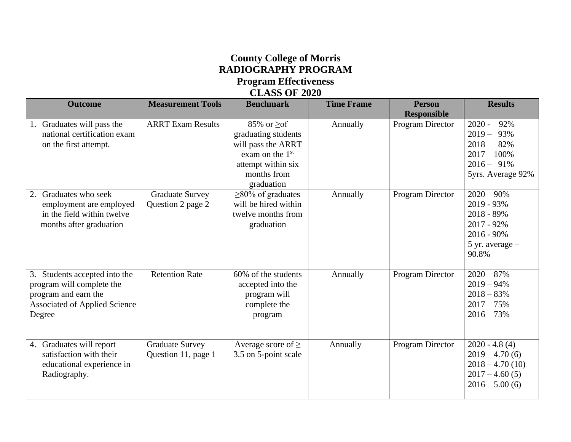## **County College of Morris RADIOGRAPHY PROGRAM Program Effectiveness**

**CLASS OF 2020**

| <b>Outcome</b>                                                                                                                       | <b>Measurement Tools</b>                      | <b>Benchmark</b>                                                                                                                         | <b>Time Frame</b> | <b>Person</b>      | <b>Results</b>                                                                                               |
|--------------------------------------------------------------------------------------------------------------------------------------|-----------------------------------------------|------------------------------------------------------------------------------------------------------------------------------------------|-------------------|--------------------|--------------------------------------------------------------------------------------------------------------|
|                                                                                                                                      |                                               |                                                                                                                                          |                   | <b>Responsible</b> |                                                                                                              |
| Graduates will pass the<br>1.<br>national certification exam<br>on the first attempt.                                                | <b>ARRT Exam Results</b>                      | $85\%$ or $\geq$ of<br>graduating students<br>will pass the ARRT<br>exam on the $1st$<br>attempt within six<br>months from<br>graduation | Annually          | Program Director   | $2020 -$<br>92%<br>$2019 -$<br>93%<br>$2018 - 82\%$<br>$2017 - 100\%$<br>$2016 - 91\%$<br>5yrs. Average 92%  |
| Graduates who seek<br>2.<br>employment are employed<br>in the field within twelve<br>months after graduation                         | <b>Graduate Survey</b><br>Question 2 page 2   | $\geq$ 80% of graduates<br>will be hired within<br>twelve months from<br>graduation                                                      | Annually          | Program Director   | $2020 - 90\%$<br>2019 - 93%<br>$2018 - 89%$<br>$2017 - 92%$<br>$2016 - 90\%$<br>$5$ yr. average $-$<br>90.8% |
| 3. Students accepted into the<br>program will complete the<br>program and earn the<br><b>Associated of Applied Science</b><br>Degree | <b>Retention Rate</b>                         | 60% of the students<br>accepted into the<br>program will<br>complete the<br>program                                                      | Annually          | Program Director   | $2020 - 87%$<br>$2019 - 94\%$<br>$2018 - 83%$<br>$2017 - 75%$<br>$2016 - 73%$                                |
| Graduates will report<br>4.<br>satisfaction with their<br>educational experience in<br>Radiography.                                  | <b>Graduate Survey</b><br>Question 11, page 1 | Average score of $\geq$<br>3.5 on 5-point scale                                                                                          | Annually          | Program Director   | $2020 - 4.8(4)$<br>$2019 - 4.70(6)$<br>$2018 - 4.70(10)$<br>$2017 - 4.60(5)$<br>$2016 - 5.00(6)$             |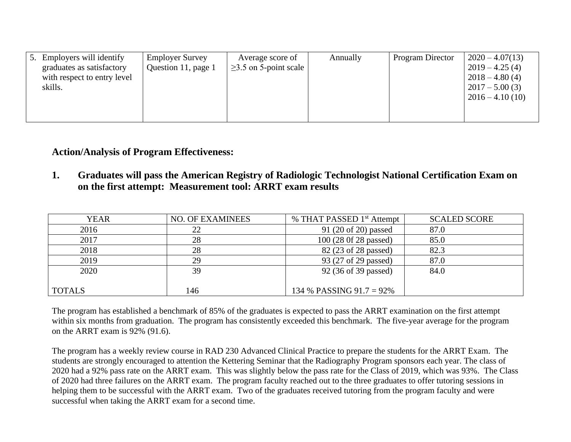| 5. Employers will identify  | <b>Employer Survey</b> | Average score of            | Annually | <b>Program Director</b> | $2020 - 4.07(13)$ |
|-----------------------------|------------------------|-----------------------------|----------|-------------------------|-------------------|
| graduates as satisfactory   | Question 11, page 1    | $\geq$ 3.5 on 5-point scale |          |                         | $2019 - 4.25(4)$  |
| with respect to entry level |                        |                             |          |                         | $2018 - 4.80(4)$  |
| skills.                     |                        |                             |          |                         | $2017 - 5.00(3)$  |
|                             |                        |                             |          |                         | $2016 - 4.10(10)$ |
|                             |                        |                             |          |                         |                   |
|                             |                        |                             |          |                         |                   |

## **Action/Analysis of Program Effectiveness:**

**1. Graduates will pass the American Registry of Radiologic Technologist National Certification Exam on on the first attempt: Measurement tool: ARRT exam results**

| YEAR          | <b>NO. OF EXAMINEES</b> | % THAT PASSED 1 <sup>st</sup> Attempt | <b>SCALED SCORE</b> |
|---------------|-------------------------|---------------------------------------|---------------------|
| 2016          | 22                      | 91 (20 of 20) passed                  | 87.0                |
| 2017          | 28                      | 100 (28 Of 28 passed)                 | 85.0                |
| 2018          | 28                      | 82 (23 of 28 passed)                  | 82.3                |
| 2019          | 29                      | 93 (27 of 29 passed)                  | 87.0                |
| 2020          | 39                      | 92 (36 of 39 passed)                  | 84.0                |
|               |                         |                                       |                     |
| <b>TOTALS</b> | 146                     | 134 % PASSING $91.7 = 92\%$           |                     |

The program has established a benchmark of 85% of the graduates is expected to pass the ARRT examination on the first attempt within six months from graduation. The program has consistently exceeded this benchmark. The five-year average for the program on the ARRT exam is 92% (91.6).

The program has a weekly review course in RAD 230 Advanced Clinical Practice to prepare the students for the ARRT Exam. The students are strongly encouraged to attention the Kettering Seminar that the Radiography Program sponsors each year. The class of 2020 had a 92% pass rate on the ARRT exam. This was slightly below the pass rate for the Class of 2019, which was 93%. The Class of 2020 had three failures on the ARRT exam. The program faculty reached out to the three graduates to offer tutoring sessions in helping them to be successful with the ARRT exam. Two of the graduates received tutoring from the program faculty and were successful when taking the ARRT exam for a second time.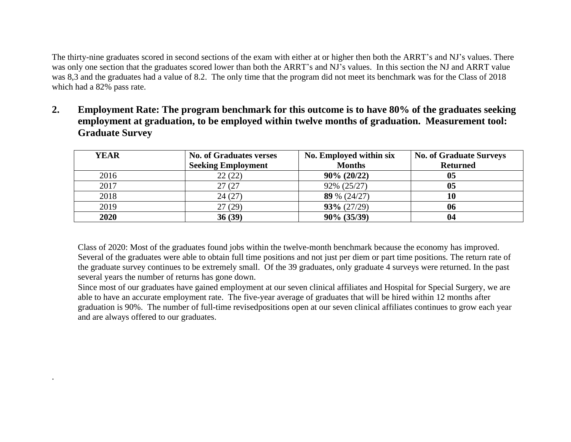The thirty-nine graduates scored in second sections of the exam with either at or higher then both the ARRT's and NJ's values. There was only one section that the graduates scored lower than both the ARRT's and NJ's values. In this section the NJ and ARRT value was 8,3 and the graduates had a value of 8.2. The only time that the program did not meet its benchmark was for the Class of 2018 which had a 82% pass rate.

**2. Employment Rate: The program benchmark for this outcome is to have 80% of the graduates seeking employment at graduation, to be employed within twelve months of graduation. Measurement tool: Graduate Survey**

| <b>YEAR</b> | <b>No. of Graduates verses</b> | No. Employed within six | <b>No. of Graduate Surveys</b> |
|-------------|--------------------------------|-------------------------|--------------------------------|
|             | <b>Seeking Employment</b>      | <b>Months</b>           | <b>Returned</b>                |
| 2016        | 22(22)                         | $90\% (20/22)$          |                                |
| 2017        | 27 (27)                        | 92% (25/27)             |                                |
| 2018        | 24(27)                         | 89 % $(24/27)$          |                                |
| 2019        | 27(29)                         | $93\% (27/29)$          | 06                             |
| 2020        | 36(39)                         | 90% (35/39)             | 04                             |

Class of 2020: Most of the graduates found jobs within the twelve-month benchmark because the economy has improved. Several of the graduates were able to obtain full time positions and not just per diem or part time positions. The return rate of the graduate survey continues to be extremely small. Of the 39 graduates, only graduate 4 surveys were returned. In the past several years the number of returns has gone down.

Since most of our graduates have gained employment at our seven clinical affiliates and Hospital for Special Surgery, we are able to have an accurate employment rate. The five-year average of graduates that will be hired within 12 months after graduation is 90%. The number of full-time revisedpositions open at our seven clinical affiliates continues to grow each year and are always offered to our graduates.

.